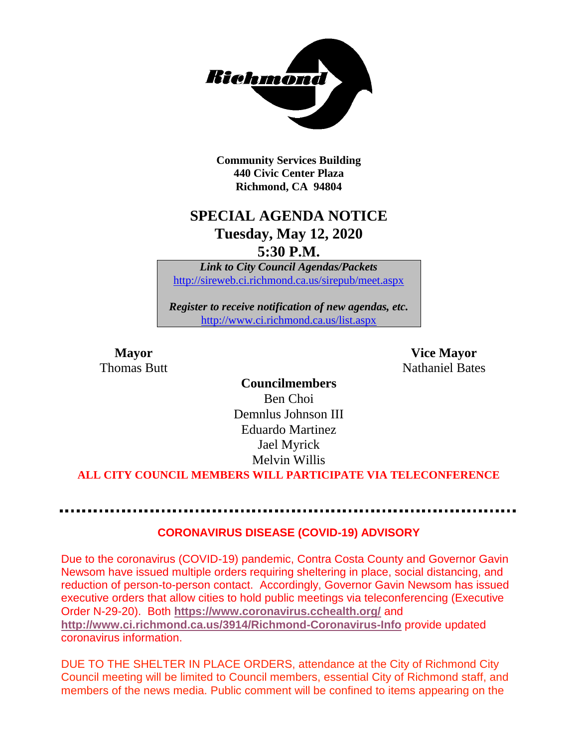

**Community Services Building 440 Civic Center Plaza Richmond, CA 94804**

### **SPECIAL AGENDA NOTICE Tuesday, May 12, 2020 5:30 P.M.**

*Link to City Council Agendas/Packets* <http://sireweb.ci.richmond.ca.us/sirepub/meet.aspx>

*Register to receive notification of new agendas, etc.* <http://www.ci.richmond.ca.us/list.aspx>

**Mayor Vice Mayor Thomas Butt Nathaniel Bates Nathaniel Bates** 

> **Councilmembers** Ben Choi Demnlus Johnson III Eduardo Martinez Jael Myrick Melvin Willis

**ALL CITY COUNCIL MEMBERS WILL PARTICIPATE VIA TELECONFERENCE**

#### **CORONAVIRUS DISEASE (COVID-19) ADVISORY**

Due to the coronavirus (COVID-19) pandemic, Contra Costa County and Governor Gavin Newsom have issued multiple orders requiring sheltering in place, social distancing, and reduction of person-to-person contact. Accordingly, Governor Gavin Newsom has issued executive orders that allow cities to hold public meetings via teleconferencing (Executive Order N-29-20). Both **<https://www.coronavirus.cchealth.org/>** and **<http://www.ci.richmond.ca.us/3914/Richmond-Coronavirus-Info>** provide updated coronavirus information.

DUE TO THE SHELTER IN PLACE ORDERS, attendance at the City of Richmond City Council meeting will be limited to Council members, essential City of Richmond staff, and members of the news media. Public comment will be confined to items appearing on the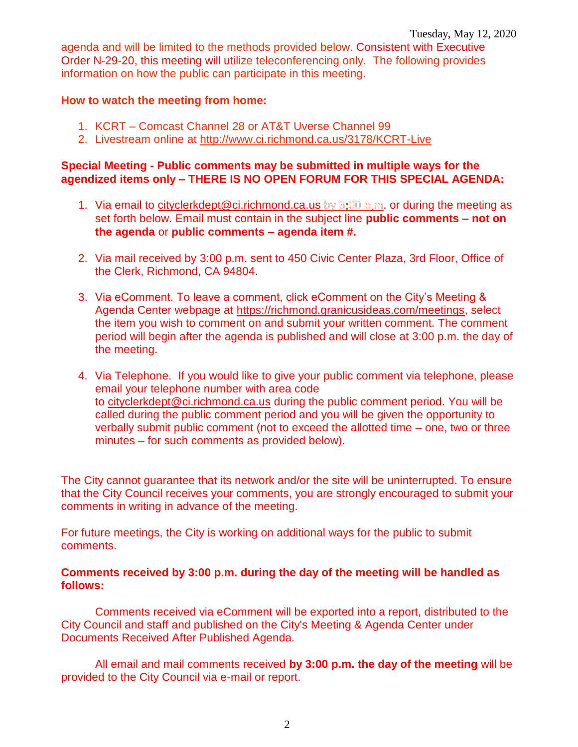agenda and will be limited to the methods provided below. Consistent with Executive Order N-29-20, this meeting will utilize teleconferencing only. The following provides information on how the public can participate in this meeting.

#### **How to watch the meeting from home:**

- 1. KCRT Comcast Channel 28 or AT&T Uverse Channel 99
- 2. Livestream online at<http://www.ci.richmond.ca.us/3178/KCRT-Live>

#### **Special Meeting - Public comments may be submitted in multiple ways for the agendized items only – THERE IS NO OPEN FORUM FOR THIS SPECIAL AGENDA:**

- 1. Via email to [cityclerkdept@ci.richmond.ca.us](mailto:cityclerkdept@ci.richmond.ca.us) by  $3:00$  p.m. or during the meeting as set forth below. Email must contain in the subject line **public comments – not on the agenda** or **public comments – agenda item #.**
- 2. Via mail received by 3:00 p.m. sent to 450 Civic Center Plaza, 3rd Floor, Office of the Clerk, Richmond, CA 94804.
- 3. Via eComment. To leave a comment, click eComment on the City's Meeting & Agenda Center webpage at [https://richmond.granicusideas.com/meetings,](https://richmond.granicusideas.com/meetings) select the item you wish to comment on and submit your written comment. The comment period will begin after the agenda is published and will close at 3:00 p.m. the day of the meeting.
- 4. Via Telephone. If you would like to give your public comment via telephone, please email your telephone number with area code to [cityclerkdept@ci.richmond.ca.us](mailto:cityclerkdept@ci.richmond.ca.us) during the public comment period. You will be called during the public comment period and you will be given the opportunity to verbally submit public comment (not to exceed the allotted time – one, two or three minutes – for such comments as provided below).

The City cannot guarantee that its network and/or the site will be uninterrupted. To ensure that the City Council receives your comments, you are strongly encouraged to submit your comments in writing in advance of the meeting.

For future meetings, the City is working on additional ways for the public to submit comments.

#### **Comments received by 3:00 p.m. during the day of the meeting will be handled as follows:**

Comments received via eComment will be exported into a report, distributed to the City Council and staff and published on the City's Meeting & Agenda Center under Documents Received After Published Agenda.

All email and mail comments received **by 3:00 p.m. the day of the meeting** will be provided to the City Council via e-mail or report.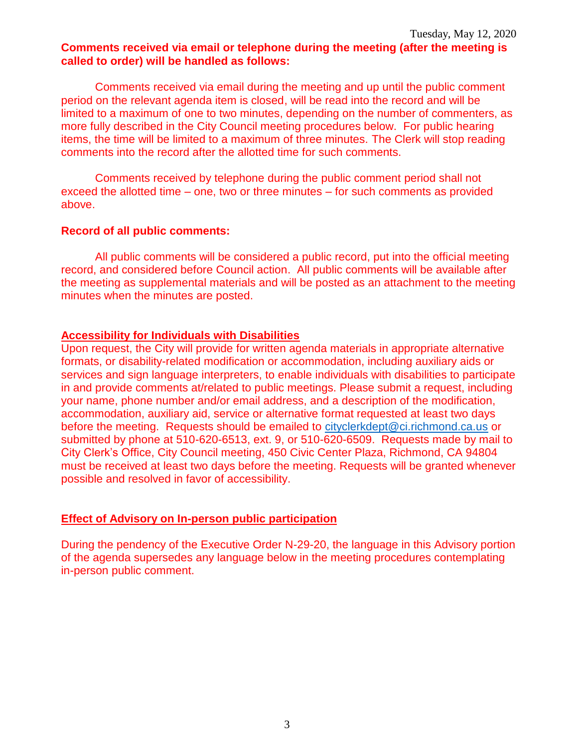#### **Comments received via email or telephone during the meeting (after the meeting is called to order) will be handled as follows:**

Comments received via email during the meeting and up until the public comment period on the relevant agenda item is closed, will be read into the record and will be limited to a maximum of one to two minutes, depending on the number of commenters, as more fully described in the City Council meeting procedures below. For public hearing items, the time will be limited to a maximum of three minutes. The Clerk will stop reading comments into the record after the allotted time for such comments.

Comments received by telephone during the public comment period shall not exceed the allotted time – one, two or three minutes – for such comments as provided above.

#### **Record of all public comments:**

All public comments will be considered a public record, put into the official meeting record, and considered before Council action. All public comments will be available after the meeting as supplemental materials and will be posted as an attachment to the meeting minutes when the minutes are posted.

#### **Accessibility for Individuals with Disabilities**

Upon request, the City will provide for written agenda materials in appropriate alternative formats, or disability-related modification or accommodation, including auxiliary aids or services and sign language interpreters, to enable individuals with disabilities to participate in and provide comments at/related to public meetings. Please submit a request, including your name, phone number and/or email address, and a description of the modification, accommodation, auxiliary aid, service or alternative format requested at least two days before the meeting. Requests should be emailed to [cityclerkdept@ci.richmond.ca.us](mailto:cityclerkdept@ci.richmond.ca.us) or submitted by phone at 510-620-6513, ext. 9, or 510-620-6509. Requests made by mail to City Clerk's Office, City Council meeting, 450 Civic Center Plaza, Richmond, CA 94804 must be received at least two days before the meeting. Requests will be granted whenever possible and resolved in favor of accessibility.

#### **Effect of Advisory on In-person public participation**

During the pendency of the Executive Order N-29-20, the language in this Advisory portion of the agenda supersedes any language below in the meeting procedures contemplating in-person public comment.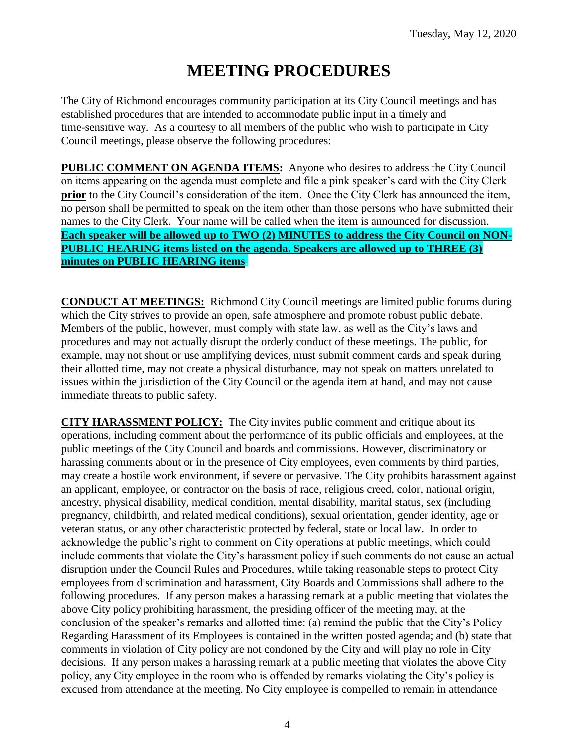# **MEETING PROCEDURES**

The City of Richmond encourages community participation at its City Council meetings and has established procedures that are intended to accommodate public input in a timely and time-sensitive way. As a courtesy to all members of the public who wish to participate in City Council meetings, please observe the following procedures:

**PUBLIC COMMENT ON AGENDA ITEMS:** Anyone who desires to address the City Council on items appearing on the agenda must complete and file a pink speaker's card with the City Clerk **prior** to the City Council's consideration of the item. Once the City Clerk has announced the item, no person shall be permitted to speak on the item other than those persons who have submitted their names to the City Clerk. Your name will be called when the item is announced for discussion. **Each speaker will be allowed up to TWO (2) MINUTES to address the City Council on NON-PUBLIC HEARING items listed on the agenda. Speakers are allowed up to THREE (3) minutes on PUBLIC HEARING items.**

**CONDUCT AT MEETINGS:** Richmond City Council meetings are limited public forums during which the City strives to provide an open, safe atmosphere and promote robust public debate. Members of the public, however, must comply with state law, as well as the City's laws and procedures and may not actually disrupt the orderly conduct of these meetings. The public, for example, may not shout or use amplifying devices, must submit comment cards and speak during their allotted time, may not create a physical disturbance, may not speak on matters unrelated to issues within the jurisdiction of the City Council or the agenda item at hand, and may not cause immediate threats to public safety.

**CITY HARASSMENT POLICY:** The City invites public comment and critique about its operations, including comment about the performance of its public officials and employees, at the public meetings of the City Council and boards and commissions. However, discriminatory or harassing comments about or in the presence of City employees, even comments by third parties, may create a hostile work environment, if severe or pervasive. The City prohibits harassment against an applicant, employee, or contractor on the basis of race, religious creed, color, national origin, ancestry, physical disability, medical condition, mental disability, marital status, sex (including pregnancy, childbirth, and related medical conditions), sexual orientation, gender identity, age or veteran status, or any other characteristic protected by federal, state or local law. In order to acknowledge the public's right to comment on City operations at public meetings, which could include comments that violate the City's harassment policy if such comments do not cause an actual disruption under the Council Rules and Procedures, while taking reasonable steps to protect City employees from discrimination and harassment, City Boards and Commissions shall adhere to the following procedures. If any person makes a harassing remark at a public meeting that violates the above City policy prohibiting harassment, the presiding officer of the meeting may, at the conclusion of the speaker's remarks and allotted time: (a) remind the public that the City's Policy Regarding Harassment of its Employees is contained in the written posted agenda; and (b) state that comments in violation of City policy are not condoned by the City and will play no role in City decisions. If any person makes a harassing remark at a public meeting that violates the above City policy, any City employee in the room who is offended by remarks violating the City's policy is excused from attendance at the meeting. No City employee is compelled to remain in attendance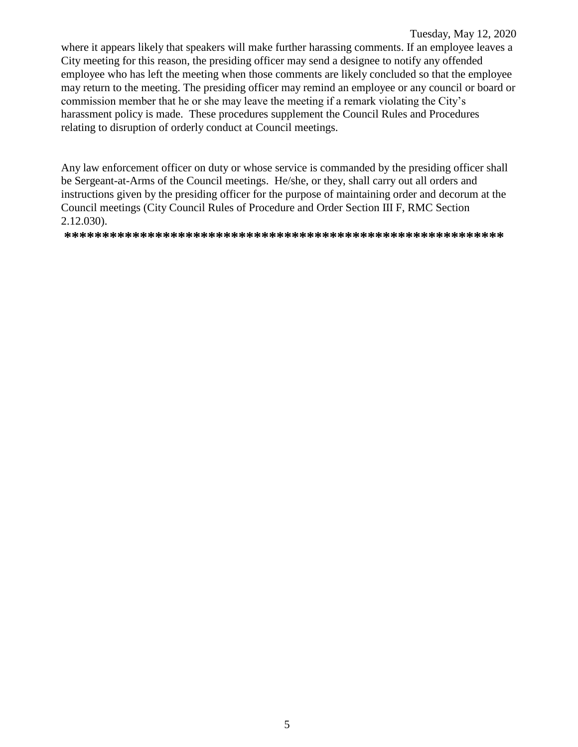Tuesday, May 12, 2020 where it appears likely that speakers will make further harassing comments. If an employee leaves a City meeting for this reason, the presiding officer may send a designee to notify any offended employee who has left the meeting when those comments are likely concluded so that the employee may return to the meeting. The presiding officer may remind an employee or any council or board or commission member that he or she may leave the meeting if a remark violating the City's harassment policy is made. These procedures supplement the Council Rules and Procedures relating to disruption of orderly conduct at Council meetings.

Any law enforcement officer on duty or whose service is commanded by the presiding officer shall be Sergeant-at-Arms of the Council meetings. He/she, or they, shall carry out all orders and instructions given by the presiding officer for the purpose of maintaining order and decorum at the Council meetings (City Council Rules of Procedure and Order Section III F, RMC Section 2.12.030).

**\*\*\*\*\*\*\*\*\*\*\*\*\*\*\*\*\*\*\*\*\*\*\*\*\*\*\*\*\*\*\*\*\*\*\*\*\*\*\*\*\*\*\*\*\*\*\*\*\*\*\*\*\*\*\*\*\*\***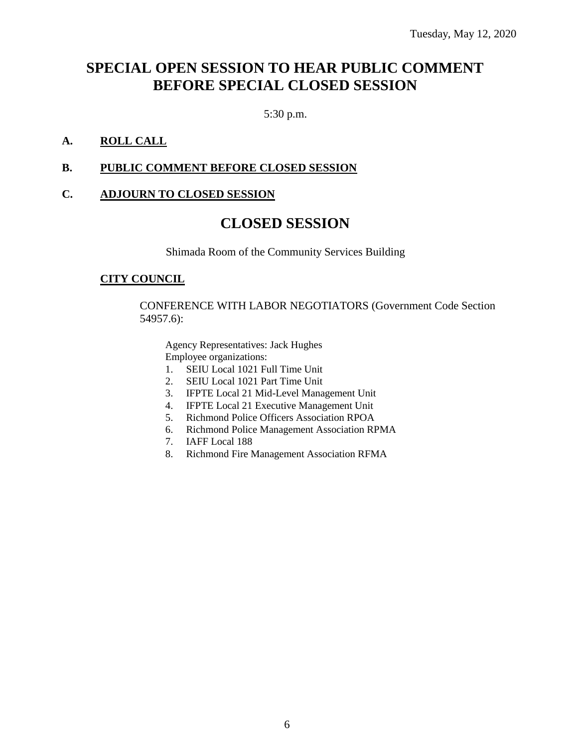## **SPECIAL OPEN SESSION TO HEAR PUBLIC COMMENT BEFORE SPECIAL CLOSED SESSION**

5:30 p.m.

#### **A. ROLL CALL**

#### **B. PUBLIC COMMENT BEFORE CLOSED SESSION**

#### **C. ADJOURN TO CLOSED SESSION**

### **CLOSED SESSION**

Shimada Room of the Community Services Building

#### **CITY COUNCIL**

CONFERENCE WITH LABOR NEGOTIATORS (Government Code Section 54957.6):

Agency Representatives: Jack Hughes Employee organizations:

- 1. SEIU Local 1021 Full Time Unit
- 2. SEIU Local 1021 Part Time Unit
- 3. IFPTE Local 21 Mid-Level Management Unit
- 4. IFPTE Local 21 Executive Management Unit
- 5. Richmond Police Officers Association RPOA
- 6. Richmond Police Management Association RPMA
- 7. IAFF Local 188
- 8. Richmond Fire Management Association RFMA